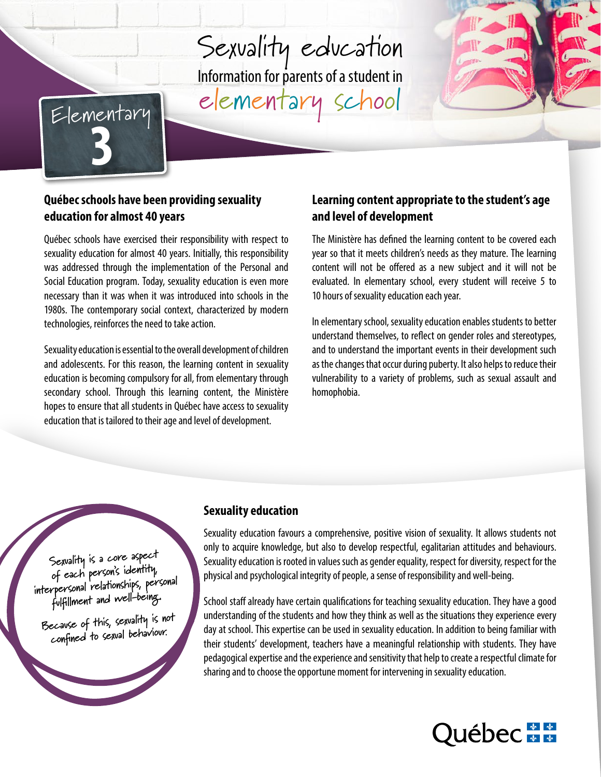# Sexuality education Information for parents of a student in elementary school Sexualitu  $\frac{1}{100}$  Internet and  $\frac{1}{100}$  and  $\frac{1}{100}$





#### **Québec schools have been providing sexuality**  education for almost 40 years **chaque année, de leur année, de leur année**, de leur année et de leur de leur de l pilote en ce sens durant les années scolaires 2015-2016 et 2016-2017. Les élèves de Québec schools have been providing sexuality Learning conte Ils recever de 5 à 15 heures de 5 années. Le par années de 5 années de 5 années de 6 années de 6 années de 6 a

Québec schools have exercised their responsibility with respect to Suebet schools have exercised their responsibility with respect to the ministere has sexuality education for almost 40 years. Initially, this responsibility year so that it m was addressed through the implementation of the Personal and Social Education program. Today, sexuality education is even more evaluated. In necessary than it was when it was introduced into schools in the alleges are desired themes traited avec les élèves et du moment 1980s. The contemporary social context, characterized by modern technologies, reinforces the need to take action. The summer develops of the ele sexuality equeation for almost 40 years. Initially, this responsibility the lyear so that it mee  $\mathsf{H}$ ecessary pour l'ensemble des écoles du Québec à compter de septembre 2017.

Sexuality education is essential to the overall development of children and adolescents. For this reason, the learning content in sexuality and docesteries. For any reason, the rearring concent in sexuality education is becoming compulsory for all, from elementary through secondary school. Through this learning content, the Ministère homophobia. de leur parties in the legitimation of the leurning of the leurning contractions of the letter profit the leur<br>hopes to ensure that all students in Québec have access to sexuality education that is tailored to their age and level of development. celle du personnel des services du personnel des services du sexuality complémentaires et animateurs et animateurs et animateurs et animateurs et animateurs et animateurs à la vie spirituelle et animateurs à la vie spiritu

## Learning content appropriate to the student's age **and level of development**

The Ministère has defined the learning content to be covered each year so that it meets children's needs as they mature. The learning content will not be offered as a new subject and it will not be evaluated. In elementary school, every student will receive 5 to 10 hours of sexuality education each year.

In elementary school, sexuality education enables students to better understand themselves, to reflect on gender roles and stereotypes, and to understand the important events in their development such as the changes that occur during puberty. It also helps to reduce their vulnerability to a variety of problems, such as sexual assault and homophobia.



ce of this, sexuality is not ined to sexual behaviour. **Because of this, sexuality is not confined to sexual behaviour.** 

#### LES ROYALES DE L'ÉCOLE DE L'ÉCOLE DE L'ÉCOLE DE L'ÉCOLE DE L'ÉCOLE DE L'ÉCOLE DE L'ÉCOLE DE L'ÉCOLE DE L'ÉCOLE **Sexuality education**

Sexuality education favours a comprehensive, positive vision of sexuality. It allows students not only to acquire knowledge, but also to develop respectful, egalitarian attitudes and behaviours. Sexuality education is rooted in values such as gender equality, respect for diversity, respect for the  $\frac{1}{2}$  and nsychological integrity of neonle a sense of responsibility and well-heing physical and psychological integrity of people, a sense of responsibility and well-being.<br>

School staff already have certain qualifications for teaching sexuality education. They have a good understanding of the students and how they think as well as the situations they experience every day at school. This expertise can be used in sexuality education. In addition to being familiar with their students' development, teachers have a meaningful relationship with students. They have pedagogical expertise and the experience and sensitivity that help to create a respectful climate for .<br>sharing and to choose the opportune moment for intervening in sexuality education. qualité. L'école fait de l'éducation à la sexualité depuis près de 40 ans.